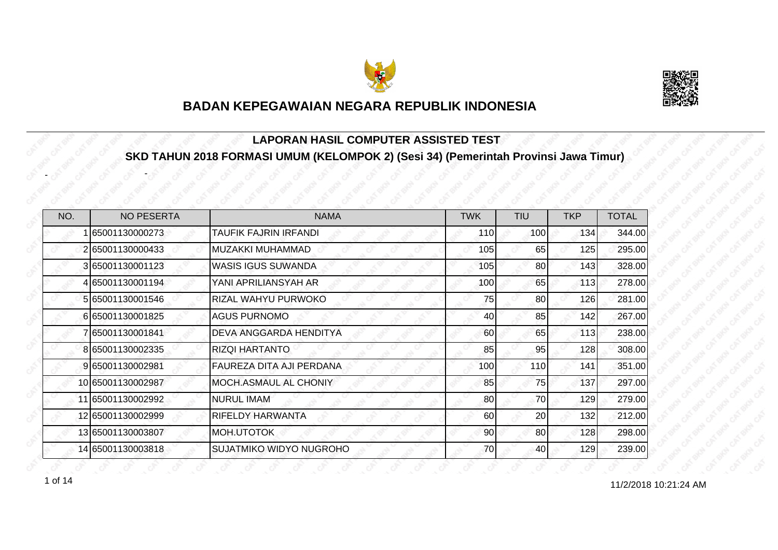



#### **LAPORAN HASIL COMPUTER ASSISTED TEST SKD TAHUN 2018 FORMASI UMUM (KELOMPOK 2) (Sesi 34) (Pemerintah Provinsi Jawa Timur)**

| NO. | <b>NO PESERTA</b> | <b>NAMA</b>                     | <b>TWK</b> | <b>TIU</b> | <b>TKP</b> | <b>TOTAL</b> |
|-----|-------------------|---------------------------------|------------|------------|------------|--------------|
|     | 65001130000273    | TAUFIK FAJRIN IRFANDI           | 110        | 100        | 134        | 344.00       |
|     | 265001130000433   | MUZAKKI MUHAMMAD                | 105        | 65         | 125        | 295.00       |
|     | 365001130001123   | <b>WASIS IGUS SUWANDA</b>       | 105        | 80         | 143        | 328.00       |
|     | 4 65001130001194  | YANI APRILIANSYAH AR            | 100        | 65         | 113        | 278.00       |
|     | 5 65001130001546  | RIZAL WAHYU PURWOKO             | 75         | 80         | 126        | 281.00       |
|     | 665001130001825   | <b>AGUS PURNOMO</b>             | 40         | 85         | 142        | 267.00       |
|     | 7 65001130001841  | DEVA ANGGARDA HENDITYA          | 60         | 65         | 113        | 238.00       |
|     | 8 65001130002335  | <b>RIZQI HARTANTO</b>           | 85         | 95         | 128        | 308.00       |
|     | 9 65001130002981  | <b>FAUREZA DITA AJI PERDANA</b> | 100        | <b>110</b> | 141        | 351.00       |
|     | 10 65001130002987 | MOCH.ASMAUL AL CHONIY           | 85         | 75         | 137        | 297.00       |
|     | 11 65001130002992 | NURUL IMAM                      | 80         | 70         | 129        | 279.00       |
|     | 12 65001130002999 | RIFELDY HARWANTA                | 60         | 20         | 132        | 212.00       |
|     | 13 65001130003807 | MOH.UTOTOK                      | 90         | 80         | 128        | 298.00       |
|     | 14 65001130003818 | <b>SUJATMIKO WIDYO NUGROHO</b>  | 70         | 40         | 129        | 239.00       |

 $10^{12/2018}$  10:21:24 AM

-

-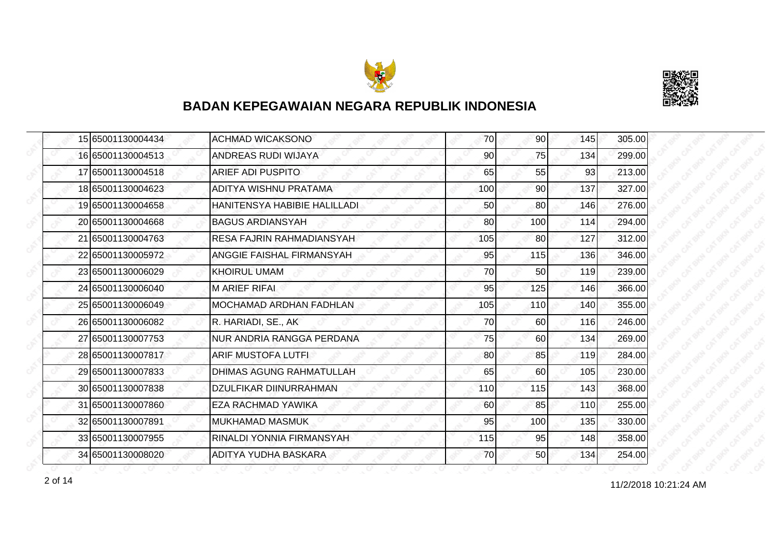



|  | 15 65001130004434 | <b>ACHMAD WICAKSONO</b>          | 70  | 90 <sup>1</sup> | 145 | 305.00 |
|--|-------------------|----------------------------------|-----|-----------------|-----|--------|
|  | 16 65001130004513 | <b>ANDREAS RUDI WIJAYA</b>       | 90  | 75              | 134 | 299.00 |
|  | 17 65001130004518 | <b>ARIEF ADI PUSPITO</b>         | 65  | 55              | 93  | 213.00 |
|  | 18 65001130004623 | ADITYA WISHNU PRATAMA            | 100 | 90 <sub>l</sub> | 137 | 327.00 |
|  | 19 65001130004658 | HANITENSYA HABIBIE HALILLADI     | 50  | 80              | 146 | 276.00 |
|  | 20165001130004668 | <b>BAGUS ARDIANSYAH</b>          | 80  | 100             | 114 | 294.00 |
|  | 21 65001130004763 | RESA FAJRIN RAHMADIANSYAH        | 105 | <b>80</b>       | 127 | 312.00 |
|  | 22 65001130005972 | <b>ANGGIE FAISHAL FIRMANSYAH</b> | 95  | 115             | 136 | 346.00 |
|  | 23 65001130006029 | <b>KHOIRUL UMAM</b>              | 70  | 50              | 119 | 239.00 |
|  | 24 65001130006040 | <b>M ARIEF RIFAL</b>             | 95  | 125             | 146 | 366.00 |
|  | 25 65001130006049 | MOCHAMAD ARDHAN FADHLAN          | 105 | 110             | 140 | 355.00 |
|  | 26 65001130006082 | R. HARIADI, SE., AK              | 70  | 60              | 116 | 246.00 |
|  | 27 65001130007753 | NUR ANDRIA RANGGA PERDANA        | 75  | 60              | 134 | 269.00 |
|  | 28 65001130007817 | ARIF MUSTOFA LUTFI               | 80  | 85              | 119 | 284.00 |
|  | 29 65001130007833 | <b>DHIMAS AGUNG RAHMATULLAH</b>  | 65  | 60              | 105 | 230.00 |
|  | 30 65001130007838 | <b>DZULFIKAR DIINURRAHMAN</b>    | 110 | 115             | 143 | 368.00 |
|  | 31 65001130007860 | EZA RACHMAD YAWIKA               | 60  | 85              | 110 | 255.00 |
|  | 32 65001130007891 | <b>MUKHAMAD MASMUK</b>           | 95  | 100             | 135 | 330.00 |
|  | 33 65001130007955 | RINALDI YONNIA FIRMANSYAH        | 115 | 95              | 148 | 358.00 |
|  | 34 65001130008020 | ADITYA YUDHA BASKARA             | 70  | 50              | 134 | 254.00 |

11/2/2018 10:21:24 AM 2 of 14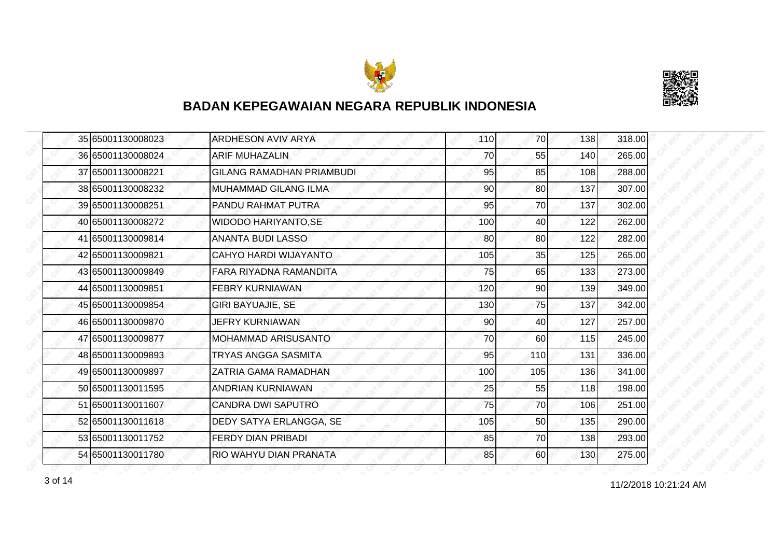



|  | 35 65001130008023 | <b>ARDHESON AVIV ARYA</b>        | 110 | 70              | 138 | 318.00 |
|--|-------------------|----------------------------------|-----|-----------------|-----|--------|
|  | 36 65001130008024 | <b>ARIF MUHAZALIN</b>            | 70  | 55              | 140 | 265.00 |
|  | 37 65001130008221 | <b>GILANG RAMADHAN PRIAMBUDI</b> | 95  | 85              | 108 | 288.00 |
|  | 38 65001130008232 | <b>MUHAMMAD GILANG ILMA</b>      | 90  | 80 <sup>1</sup> | 137 | 307.00 |
|  | 39 65001130008251 | PANDU RAHMAT PUTRA               | 95  | 70I             | 137 | 302.00 |
|  | 40 65001130008272 | <b>WIDODO HARIYANTO, SE</b>      | 100 | 40              | 122 | 262.00 |
|  | 41 65001130009814 | <b>ANANTA BUDI LASSO</b>         | 80  | 80 <sup>1</sup> | 122 | 282.00 |
|  | 42 65001130009821 | CAHYO HARDI WIJAYANTO            | 105 | 35              | 125 | 265.00 |
|  | 43 65001130009849 | FARA RIYADNA RAMANDITA           | 75  | 65              | 133 | 273.00 |
|  | 44 65001130009851 | <b>FEBRY KURNIAWAN</b>           | 120 | 90 <sup>1</sup> | 139 | 349.00 |
|  | 45 65001130009854 | <b>GIRI BAYUAJIE, SE</b>         | 130 | 75              | 137 | 342.00 |
|  | 46 65001130009870 | <b>JEFRY KURNIAWAN</b>           | 90  | 40              | 127 | 257.00 |
|  | 47 65001130009877 | MOHAMMAD ARISUSANTO              | 70  | 60              | 115 | 245.00 |
|  | 48 65001130009893 | TRYAS ANGGA SASMITA              | 95  | 110             | 131 | 336.00 |
|  | 49 65001130009897 | ZATRIA GAMA RAMADHAN             | 100 | 105             | 136 | 341.00 |
|  | 50 65001130011595 | ANDRIAN KURNIAWAN                | 25  | 55              | 118 | 198.00 |
|  | 51 65001130011607 | <b>CANDRA DWI SAPUTRO</b>        | 75  | 70              | 106 | 251.00 |
|  | 52 65001130011618 | DEDY SATYA ERLANGGA, SE          | 105 | 50              | 135 | 290.00 |
|  | 53 65001130011752 | <b>FERDY DIAN PRIBADI</b>        | 85  | 70              | 138 | 293.00 |
|  | 54 65001130011780 | RIO WAHYU DIAN PRANATA           | 85  | 60              | 130 | 275.00 |

11/2/2018 10:21:24 AM 3 of 14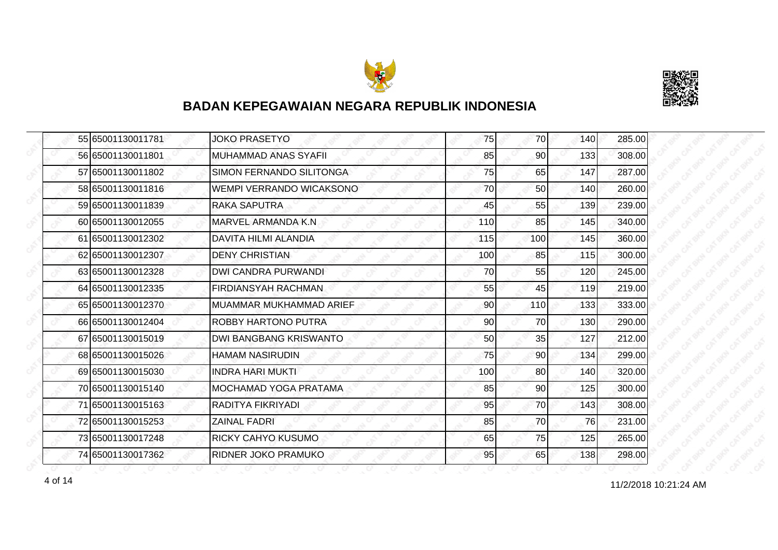



|  | 55 65001130011781 | <b>JOKO PRASETYO</b>          | 75  | <b>70</b> | 140 | 285.00 |
|--|-------------------|-------------------------------|-----|-----------|-----|--------|
|  | 56 65001130011801 | MUHAMMAD ANAS SYAFII          | 85  | 90        | 133 | 308.00 |
|  | 57 65001130011802 | SIMON FERNANDO SILITONGA      | 75  | 65        | 147 | 287.00 |
|  | 58 65001130011816 | WEMPI VERRANDO WICAKSONO      | 70  | 50        | 140 | 260.00 |
|  | 59 65001130011839 | RAKA SAPUTRA                  | 45  | 55        | 139 | 239.00 |
|  | 60 65001130012055 | MARVEL ARMANDA K.N            | 110 | 85        | 145 | 340.00 |
|  | 61 65001130012302 | DAVITA HILMI ALANDIA          | 115 | 100       | 145 | 360.00 |
|  | 62 65001130012307 | <b>DENY CHRISTIAN</b>         | 100 | 85        | 115 | 300.00 |
|  | 63 65001130012328 | <b>DWI CANDRA PURWANDI</b>    | 70  | 55        | 120 | 245.00 |
|  | 64 65001130012335 | <b>FIRDIANSYAH RACHMAN</b>    | 55  | 45        | 119 | 219.00 |
|  | 65 65001130012370 | MUAMMAR MUKHAMMAD ARIEF       | 90  | 110       | 133 | 333.00 |
|  | 66 65001130012404 | ROBBY HARTONO PUTRA           | 90  | 70        | 130 | 290.00 |
|  | 67 65001130015019 | <b>DWI BANGBANG KRISWANTO</b> | 50  | 35        | 127 | 212.00 |
|  | 68 65001130015026 | <b>HAMAM NASIRUDIN</b>        | 75  | 90        | 134 | 299.00 |
|  | 69 65001130015030 | <b>INDRA HARI MUKTI</b>       | 100 | 80        | 140 | 320.00 |
|  | 70 65001130015140 | MOCHAMAD YOGA PRATAMA         | 85  | 90        | 125 | 300.00 |
|  | 71 65001130015163 | RADITYA FIKRIYADI             | 95  | 70        | 143 | 308.00 |
|  | 72 65001130015253 | <b>ZAINAL FADRI</b>           | 85  | 70        | 76  | 231.00 |
|  | 73 65001130017248 | <b>RICKY CAHYO KUSUMO</b>     | 65  | 75        | 125 | 265.00 |
|  | 74 65001130017362 | RIDNER JOKO PRAMUKO           | 95  | 65        | 138 | 298.00 |

11/2/2018 10:21:24 AM 4 of 14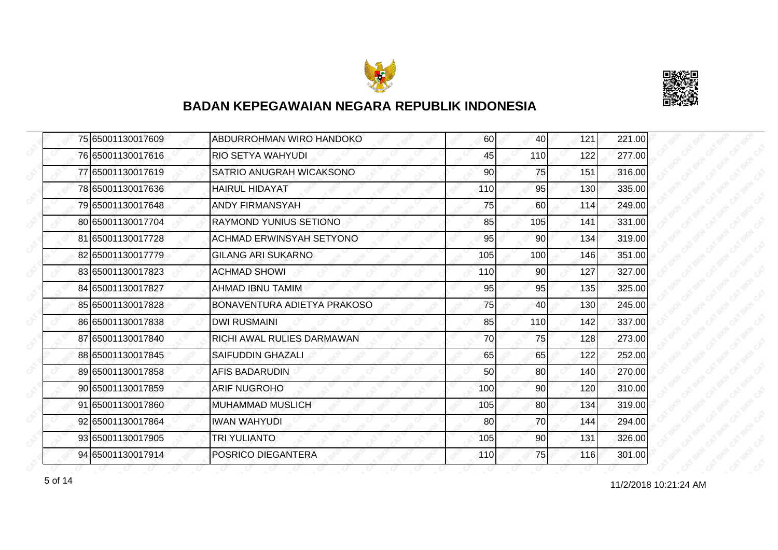



|  | 75 65001130017609 | ABDURROHMAN WIRO HANDOKO           | 60  | 40  | 121 | 221.00 |
|--|-------------------|------------------------------------|-----|-----|-----|--------|
|  | 76 65001130017616 | <b>RIO SETYA WAHYUDI</b>           | 45  | 110 | 122 | 277.00 |
|  | 77 65001130017619 | SATRIO ANUGRAH WICAKSONO           | 90  | 75  | 151 | 316.00 |
|  | 78 65001130017636 | <b>HAIRUL HIDAYAT</b>              | 110 | 95  | 130 | 335.00 |
|  | 79 65001130017648 | <b>ANDY FIRMANSYAH</b>             | 75  | 60  | 114 | 249.00 |
|  | 80 65001130017704 | <b>RAYMOND YUNIUS SETIONO</b>      | 85  | 105 | 141 | 331.00 |
|  | 81 65001130017728 | <b>ACHMAD ERWINSYAH SETYONO</b>    | 95  | 90  | 134 | 319.00 |
|  | 82 65001130017779 | <b>GILANG ARI SUKARNO</b>          | 105 | 100 | 146 | 351.00 |
|  | 83 65001130017823 | <b>ACHMAD SHOWI</b>                | 110 | 90  | 127 | 327.00 |
|  | 84 65001130017827 | <b>AHMAD IBNU TAMIM</b>            | 95  | 95  | 135 | 325.00 |
|  | 85 65001130017828 | <b>BONAVENTURA ADIETYA PRAKOSO</b> | 75  | 40  | 130 | 245.00 |
|  | 86 65001130017838 | <b>DWI RUSMAINI</b>                | 85  | 110 | 142 | 337.00 |
|  | 87 65001130017840 | RICHI AWAL RULIES DARMAWAN         | 70  | 75  | 128 | 273.00 |
|  | 88 65001130017845 | <b>SAIFUDDIN GHAZALI</b>           | 65  | 65  | 122 | 252.00 |
|  | 89 65001130017858 | <b>AFIS BADARUDIN</b>              | 50  | 80  | 140 | 270.00 |
|  | 90 65001130017859 | <b>ARIF NUGROHO</b>                | 100 | 90  | 120 | 310.00 |
|  | 91 65001130017860 | <b>MUHAMMAD MUSLICH</b>            | 105 | 80  | 134 | 319.00 |
|  | 92 65001130017864 | <b>IWAN WAHYUDI</b>                | 80  | 70  | 144 | 294.00 |
|  | 93 65001130017905 | <b>TRI YULIANTO</b>                | 105 | 90  | 131 | 326.00 |
|  | 94 65001130017914 | POSRICO DIEGANTERA                 | 110 | 75  | 116 | 301.00 |

11/2/2018 10:21:24 AM 5 of 14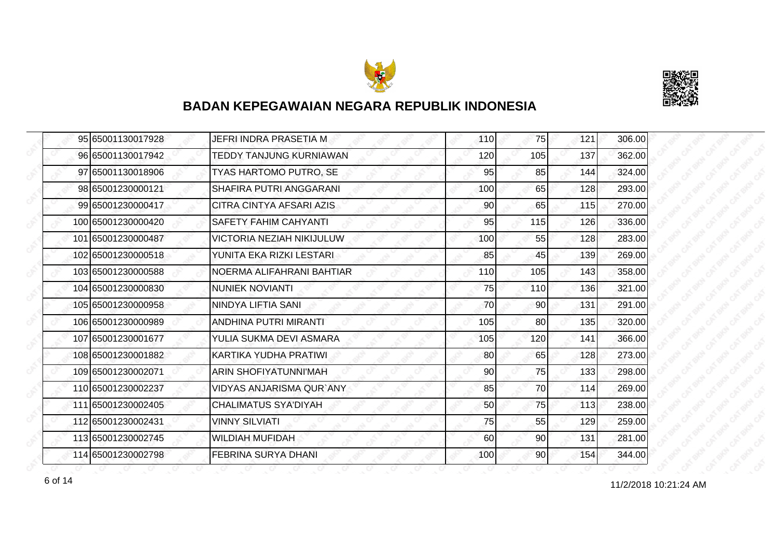



| 95 65001130017928  | JEFRI INDRA PRASETIA M           | 110 | 75              | 121 | 306.00 |
|--------------------|----------------------------------|-----|-----------------|-----|--------|
| 96 65001130017942  | TEDDY TANJUNG KURNIAWAN          | 120 | 105             | 137 | 362.00 |
| 97 65001130018906  | TYAS HARTOMO PUTRO, SE           | 95  | 85              | 144 | 324.00 |
| 98 65001230000121  | SHAFIRA PUTRI ANGGARANI          | 100 | 65              | 128 | 293.00 |
| 99 65001230000417  | CITRA CINTYA AFSARI AZIS         | 90  | 65              | 115 | 270.00 |
| 100165001230000420 | SAFETY FAHIM CAHYANTI            | 95  | 115             | 126 | 336.00 |
| 101 65001230000487 | <b>VICTORIA NEZIAH NIKIJULUW</b> | 100 | 55              | 128 | 283.00 |
| 102 65001230000518 | YUNITA EKA RIZKI LESTARI         | 85  | 45              | 139 | 269.00 |
| 103 65001230000588 | NOERMA ALIFAHRANI BAHTIAR        | 110 | 105             | 143 | 358.00 |
| 104 65001230000830 | <b>NUNIEK NOVIANTI</b>           | 75  | <b>110</b>      | 136 | 321.00 |
| 105 65001230000958 | NINDYA LIFTIA SANI               | 70  | 90              | 131 | 291.00 |
| 106 65001230000989 | ANDHINA PUTRI MIRANTI            | 105 | 80              | 135 | 320.00 |
| 107 65001230001677 | YULIA SUKMA DEVI ASMARA          | 105 | 120             | 141 | 366.00 |
| 108 65001230001882 | IKARTIKA YUDHA PRATIWI           | 80  | 65              | 128 | 273.00 |
| 109 65001230002071 | <b>ARIN SHOFIYATUNNI'MAH</b>     | 90  | 75              | 133 | 298.00 |
| 110 65001230002237 | <b>VIDYAS ANJARISMA QUR'ANY</b>  | 85  | 70              | 114 | 269.00 |
| 111 65001230002405 | <b>CHALIMATUS SYA'DIYAH</b>      | 50  | 75              | 113 | 238.00 |
| 112 65001230002431 | <b>VINNY SILVIATI</b>            | 75  | 55              | 129 | 259.00 |
| 113 65001230002745 | <b>WILDIAH MUFIDAH</b>           | 60  | 90              | 131 | 281.00 |
| 114 65001230002798 | FEBRINA SURYA DHANI              | 100 | 90 <sub>l</sub> | 154 | 344.00 |

11/2/2018 10:21:24 AM 6 of 14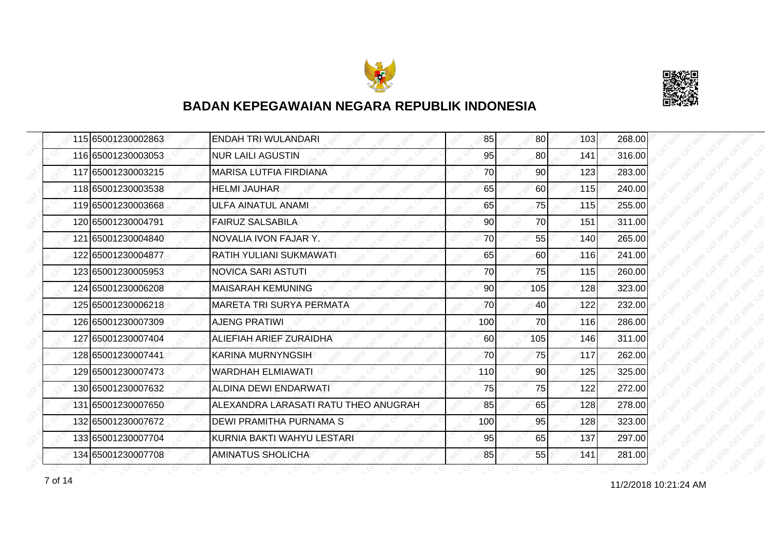



|  | 115 65001230002863 | ENDAH TRI WULANDARI                  | 85  | <b>80</b> | 103 | 268.00 |
|--|--------------------|--------------------------------------|-----|-----------|-----|--------|
|  | 116 65001230003053 | <b>NUR LAILI AGUSTIN</b>             | 95  | 80        | 141 | 316.00 |
|  | 117 65001230003215 | <b>MARISA LUTFIA FIRDIANA</b>        | 70  | 90        | 123 | 283.00 |
|  | 118 65001230003538 | <b>HELMI JAUHAR</b>                  | 65  | 60        | 115 | 240.00 |
|  | 119 65001230003668 | ULFA AINATUL ANAMI                   | 65  | 75        | 115 | 255.00 |
|  | 120 65001230004791 | <b>FAIRUZ SALSABILA</b>              | 90  | 70        | 151 | 311.00 |
|  | 121 65001230004840 | NOVALIA IVON FAJAR Y.                | 70  | 55        | 140 | 265.00 |
|  | 122 65001230004877 | RATIH YULIANI SUKMAWATI              | 65  | 60        | 116 | 241.00 |
|  | 123 65001230005953 | <b>NOVICA SARI ASTUTI</b>            | 70  | 75        | 115 | 260.00 |
|  | 124 65001230006208 | <b>MAISARAH KEMUNING</b>             | 90  | 105       | 128 | 323.00 |
|  | 125 65001230006218 | <b>MARETA TRI SURYA PERMATA</b>      | 70  | 40        | 122 | 232.00 |
|  | 126 65001230007309 | <b>AJENG PRATIWI</b>                 | 100 | 70        | 116 | 286.00 |
|  | 127 65001230007404 | ALIEFIAH ARIEF ZURAIDHA              | 60  | 105       | 146 | 311.00 |
|  | 128 65001230007441 | KARINA MURNYNGSIH                    | 70  | 75        | 117 | 262.00 |
|  | 129 65001230007473 | WARDHAH ELMIAWATI                    | 110 | 90        | 125 | 325.00 |
|  | 130 65001230007632 | ALDINA DEWI ENDARWATI                | 75  | 75        | 122 | 272.00 |
|  | 131 65001230007650 | ALEXANDRA LARASATI RATU THEO ANUGRAH | 85  | 65        | 128 | 278.00 |
|  | 132165001230007672 | DEWI PRAMITHA PURNAMA S              | 100 | 95        | 128 | 323.00 |
|  | 133 65001230007704 | KURNIA BAKTI WAHYU LESTARI           | 95  | 65        | 137 | 297.00 |
|  | 134 65001230007708 | AMINATUS SHOLICHA                    | 85  | 55        | 141 | 281.00 |

11/2/2018 10:21:24 AM 7 of 14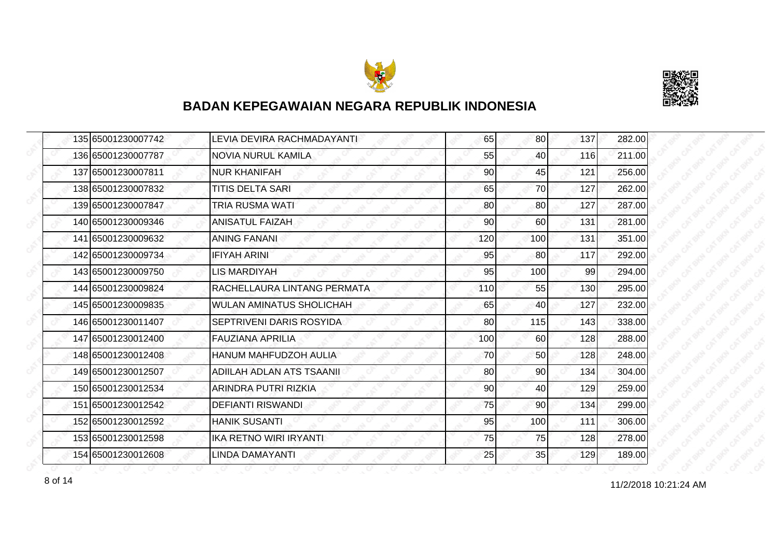



| 135 65001230007742 | LEVIA DEVIRA RACHMADAYANTI   | 65  | 80         | 137 | 282.00 |
|--------------------|------------------------------|-----|------------|-----|--------|
| 136 65001230007787 | <b>NOVIA NURUL KAMILA</b>    | 55  | 40         | 116 | 211.00 |
| 137 65001230007811 | <b>NUR KHANIFAH</b>          | 90  | 45         | 121 | 256.00 |
| 138 65001230007832 | <b>TITIS DELTA SARI</b>      | 65  | 70         | 127 | 262.00 |
| 139 65001230007847 | TRIA RUSMA WATI              | 80  | 80         | 127 | 287.00 |
| 140 65001230009346 | <b>ANISATUL FAIZAH</b>       | 90  | 60         | 131 | 281.00 |
| 141 65001230009632 | <b>ANING FANANI</b>          | 120 | <b>100</b> | 131 | 351.00 |
| 142 65001230009734 | <b>IFIYAH ARINI</b>          | 95  | 80         | 117 | 292.00 |
| 143 65001230009750 | <b>LIS MARDIYAH</b>          | 95  | 100        | 99  | 294.00 |
| 144 65001230009824 | RACHELLAURA LINTANG PERMATA  | 110 | 55         | 130 | 295.00 |
| 145 65001230009835 | WULAN AMINATUS SHOLICHAH     | 65  | 40         | 127 | 232.00 |
| 146 65001230011407 | SEPTRIVENI DARIS ROSYIDA     | 80  | 115        | 143 | 338.00 |
| 147 65001230012400 | <b>FAUZIANA APRILIA</b>      | 100 | 60         | 128 | 288.00 |
| 148 65001230012408 | <b>HANUM MAHFUDZOH AULIA</b> | 70  | 50         | 128 | 248.00 |
| 149 65001230012507 | ADIILAH ADLAN ATS TSAANII    | 80  | 90         | 134 | 304.00 |
| 150 65001230012534 | <b>ARINDRA PUTRI RIZKIA</b>  | 90  | 40         | 129 | 259.00 |
| 151 65001230012542 | <b>DEFIANTI RISWANDI</b>     | 75  | 90         | 134 | 299.00 |
| 152165001230012592 | <b>HANIK SUSANTI</b>         | 95  | 100        | 111 | 306.00 |
| 153 65001230012598 | IKA RETNO WIRI IRYANTI       | 75  | 75         | 128 | 278.00 |
| 154 65001230012608 | <b>LINDA DAMAYANTI</b>       | 25  | 35         | 129 | 189.00 |

11/2/2018 10:21:24 AM 8 of 14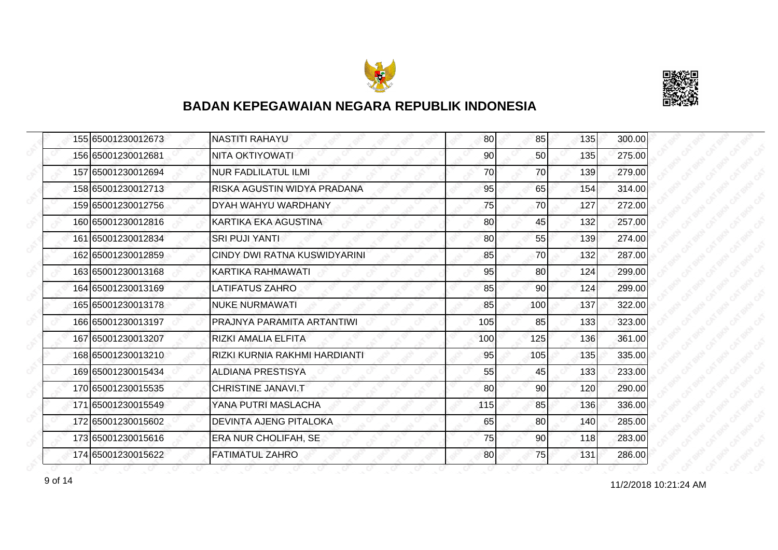



| 155 65001230012673 | <b>NASTITI RAHAYU</b>         | 80  | 85              | 135 | 300.00 |
|--------------------|-------------------------------|-----|-----------------|-----|--------|
| 156 65001230012681 | NITA OKTIYOWATI               | 90  | 50              | 135 | 275.00 |
| 157 65001230012694 | <b>NUR FADLILATUL ILMI</b>    | 70  | 70              | 139 | 279.00 |
| 158 65001230012713 | RISKA AGUSTIN WIDYA PRADANA   | 95  | 65              | 154 | 314.00 |
| 159 65001230012756 | DYAH WAHYU WARDHANY           | 75  | 70              | 127 | 272.00 |
| 160 65001230012816 | KARTIKA EKA AGUSTINA          | 80  | 45              | 132 | 257.00 |
| 161 65001230012834 | <b>SRI PUJI YANTI</b>         | 80  | 55              | 139 | 274.00 |
| 162 65001230012859 | CINDY DWI RATNA KUSWIDYARINI  | 85  | 70              | 132 | 287.00 |
| 163 65001230013168 | KARTIKA RAHMAWATI             | 95  | 80              | 124 | 299.00 |
| 164 65001230013169 | <b>LATIFATUS ZAHRO</b>        | 85  | 90 <sub>0</sub> | 124 | 299.00 |
| 165 65001230013178 | <b>NUKE NURMAWATI</b>         | 85  | 100             | 137 | 322.00 |
| 166 65001230013197 | PRAJNYA PARAMITA ARTANTIWI    | 105 | 85              | 133 | 323.00 |
| 167 65001230013207 | RIZKI AMALIA ELFITA           | 100 | 125             | 136 | 361.00 |
| 168 65001230013210 | RIZKI KURNIA RAKHMI HARDIANTI | 95  | 105             | 135 | 335.00 |
| 169 65001230015434 | <b>ALDIANA PRESTISYA</b>      | 55  | 45              | 133 | 233.00 |
| 170 65001230015535 | CHRISTINE JANAVI.T            | 80  | 90              | 120 | 290.00 |
| 171 65001230015549 | YANA PUTRI MASLACHA           | 115 | 85              | 136 | 336.00 |
| 172 65001230015602 | <b>DEVINTA AJENG PITALOKA</b> | 65  | 80              | 140 | 285.00 |
| 173 65001230015616 | <b>ERA NUR CHOLIFAH, SE</b>   | 75  | 90              | 118 | 283.00 |
| 174 65001230015622 | <b>FATIMATUL ZAHRO</b>        | 80  | 75              | 131 | 286.00 |

11/2/2018 10:21:24 AM 9 of 14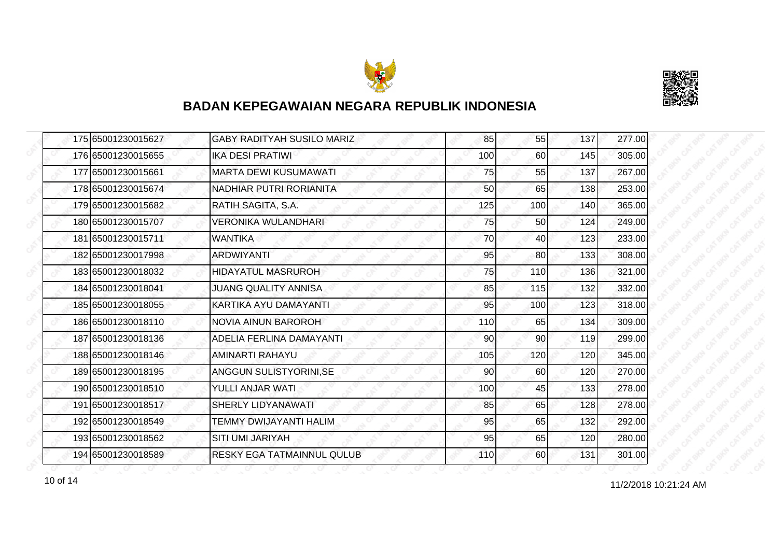



|  | 175 65001230015627 | <b>GABY RADITYAH SUSILO MARIZ</b> | 85  | 55              | 137 | 277.00 |
|--|--------------------|-----------------------------------|-----|-----------------|-----|--------|
|  | 176 65001230015655 | <b>IKA DESI PRATIWI</b>           | 100 | 60              | 145 | 305.00 |
|  | 177 65001230015661 | <b>MARTA DEWI KUSUMAWATI</b>      | 75  | 55              | 137 | 267.00 |
|  | 178 65001230015674 | NADHIAR PUTRI RORIANITA           | 50  | 65              | 138 | 253.00 |
|  | 179 65001230015682 | RATIH SAGITA, S.A.                | 125 | 100             | 140 | 365.00 |
|  | 180 65001230015707 | <b>VERONIKA WULANDHARI</b>        | 75  | 50              | 124 | 249.00 |
|  | 181 65001230015711 | <b>WANTIKA</b>                    | 70  | 40I             | 123 | 233.00 |
|  | 182 65001230017998 | <b>ARDWIYANTI</b>                 | 95  | 80              | 133 | 308.00 |
|  | 183 65001230018032 | <b>HIDAYATUL MASRUROH</b>         | 75  | 110             | 136 | 321.00 |
|  | 184 65001230018041 | <b>JUANG QUALITY ANNISA</b>       | 85  | 115             | 132 | 332.00 |
|  | 185 65001230018055 | KARTIKA AYU DAMAYANTI             | 95  | 100             | 123 | 318.00 |
|  | 186 65001230018110 | <b>NOVIA AINUN BAROROH</b>        | 110 | 65              | 134 | 309.00 |
|  | 187 65001230018136 | ADELIA FERLINA DAMAYANTI          | 90  | 90 <sub>0</sub> | 119 | 299.00 |
|  | 188 65001230018146 | <b>AMINARTI RAHAYU</b>            | 105 | 120             | 120 | 345.00 |
|  | 189 65001230018195 | ANGGUN SULISTYORINI, SE           | 90  | 60              | 120 | 270.00 |
|  | 190 65001230018510 | YULLI ANJAR WATI                  | 100 | 45              | 133 | 278.00 |
|  | 191 65001230018517 | SHERLY LIDYANAWATI                | 85  | 65              | 128 | 278.00 |
|  | 192 65001230018549 | TEMMY DWIJAYANTI HALIM            | 95  | 65              | 132 | 292.00 |
|  | 193 65001230018562 | SITI UMI JARIYAH                  | 95  | 65              | 120 | 280.00 |
|  | 194 65001230018589 | RESKY EGA TATMAINNUL QULUB        | 110 | <b>60</b>       | 131 | 301.00 |

11/2/2018 10:21:24 AM 10 of 14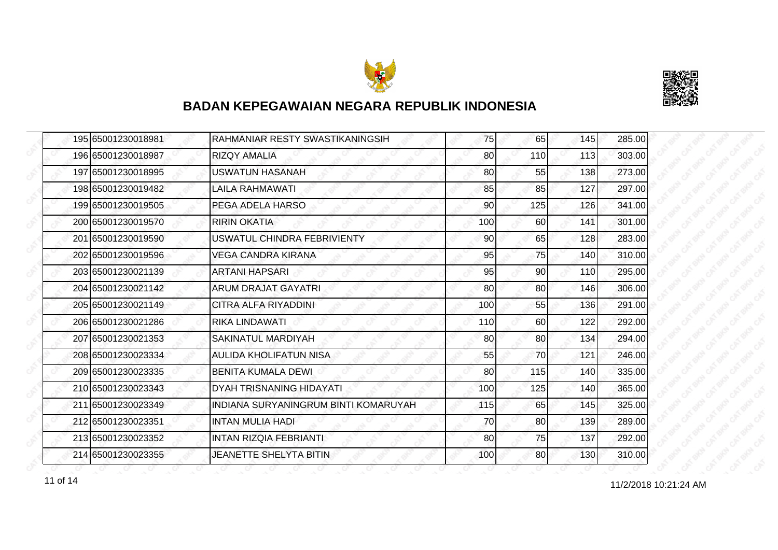



|  | 195 65001230018981 | RAHMANIAR RESTY SWASTIKANINGSIH      | 75  | 65  | 145 | 285.00 |
|--|--------------------|--------------------------------------|-----|-----|-----|--------|
|  | 196 65001230018987 | <b>RIZQY AMALIA</b>                  | 80  | 110 | 113 | 303.00 |
|  | 197 65001230018995 | <b>USWATUN HASANAH</b>               | 80  | 55  | 138 | 273.00 |
|  | 198 65001230019482 | LAILA RAHMAWATI                      | 85  | 85  | 127 | 297.00 |
|  | 199 65001230019505 | PEGA ADELA HARSO                     | 90  | 125 | 126 | 341.00 |
|  | 200 65001230019570 | <b>RIRIN OKATIA</b>                  | 100 | 60  | 141 | 301.00 |
|  | 201 65001230019590 | <b>USWATUL CHINDRA FEBRIVIENTY</b>   | 90  | 65  | 128 | 283.00 |
|  | 202 65001230019596 | VEGA CANDRA KIRANA                   | 95  | 75  | 140 | 310.00 |
|  | 203 65001230021139 | <b>ARTANI HAPSARI</b>                | 95  | 90  | 110 | 295.00 |
|  | 204 65001230021142 | <b>ARUM DRAJAT GAYATRI</b>           | 80  | 80  | 146 | 306.00 |
|  | 205 65001230021149 | CITRA ALFA RIYADDINI                 | 100 | 55  | 136 | 291.00 |
|  | 206 65001230021286 | <b>RIKA LINDAWATI</b>                | 110 | 60  | 122 | 292.00 |
|  | 207165001230021353 | SAKINATUL MARDIYAH                   | 80  | 80  | 134 | 294.00 |
|  | 208 65001230023334 | AULIDA KHOLIFATUN NISA               | 55  | 70  | 121 | 246.00 |
|  | 209 65001230023335 | <b>BENITA KUMALA DEWI</b>            | 80  | 115 | 140 | 335.00 |
|  | 210 65001230023343 | DYAH TRISNANING HIDAYATI             | 100 | 125 | 140 | 365.00 |
|  | 211 65001230023349 | INDIANA SURYANINGRUM BINTI KOMARUYAH | 115 | 65  | 145 | 325.00 |
|  | 212 65001230023351 | INTAN MULIA HADI                     | 70  | 80  | 139 | 289.00 |
|  | 213 65001230023352 | <b>INTAN RIZQIA FEBRIANTI</b>        | 80  | 75  | 137 | 292.00 |
|  | 214 65001230023355 | <b>JEANETTE SHELYTA BITIN</b>        | 100 | 80  | 130 | 310.00 |

11 of 14  $11/2/2018$  10:21:24 AM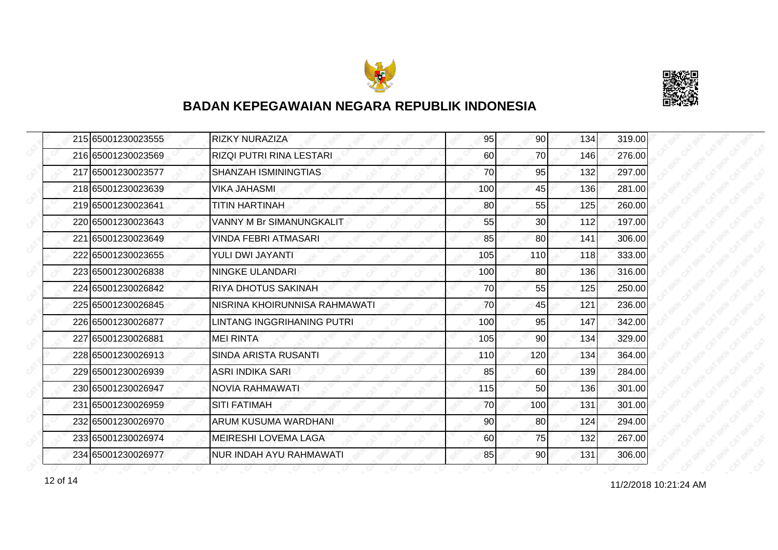



| 215 65001230023555 | <b>RIZKY NURAZIZA</b>           | 95  | 90  | 134 | 319.00 |
|--------------------|---------------------------------|-----|-----|-----|--------|
| 216 65001230023569 | <b>RIZQI PUTRI RINA LESTARI</b> | 60  | 70  | 146 | 276.00 |
| 217 65001230023577 | SHANZAH ISMININGTIAS            | 70  | 95  | 132 | 297.00 |
| 218 65001230023639 | VIKA JAHASMI                    | 100 | 45  | 136 | 281.00 |
| 219 65001230023641 | <b>TITIN HARTINAH</b>           | 80  | 55  | 125 | 260.00 |
| 220165001230023643 | <b>VANNY M Br SIMANUNGKALIT</b> | 55  | 30  | 112 | 197.00 |
| 221 65001230023649 | <b>VINDA FEBRI ATMASARI</b>     | 85  | 80  | 141 | 306.00 |
| 222 65001230023655 | YULI DWI JAYANTI                | 105 | 110 | 118 | 333.00 |
| 223 65001230026838 | NINGKE ULANDARI                 | 100 | 80  | 136 | 316.00 |
| 224 65001230026842 | RIYA DHOTUS SAKINAH             | 70  | 55  | 125 | 250.00 |
| 225165001230026845 | INISRINA KHOIRUNNISA RAHMAWATI  | 70  | 45  | 121 | 236.00 |
| 226165001230026877 | LINTANG INGGRIHANING PUTRI      | 100 | 95  | 147 | 342.00 |
| 227 65001230026881 | <b>MEI RINTA</b>                | 105 | 90  | 134 | 329.00 |
| 228 65001230026913 | <b>SINDA ARISTA RUSANTI</b>     | 110 | 120 | 134 | 364.00 |
| 229 65001230026939 | ASRI INDIKA SARI                | 85  | 60  | 139 | 284.00 |
| 230 65001230026947 | NOVIA RAHMAWATI                 | 115 | 50  | 136 | 301.00 |
| 231 65001230026959 | <b>SITI FATIMAH</b>             | 70  | 100 | 131 | 301.00 |
| 232165001230026970 | ARUM KUSUMA WARDHANI            | 90  | 80  | 124 | 294.00 |
| 233 65001230026974 | <b>MEIRESHI LOVEMA LAGA</b>     | 60  | 75  | 132 | 267.00 |
| 234 65001230026977 | <b>NUR INDAH AYU RAHMAWATI</b>  | 85  | 90  | 131 | 306.00 |

11/2/2018 10:21:24 AM 12 of 14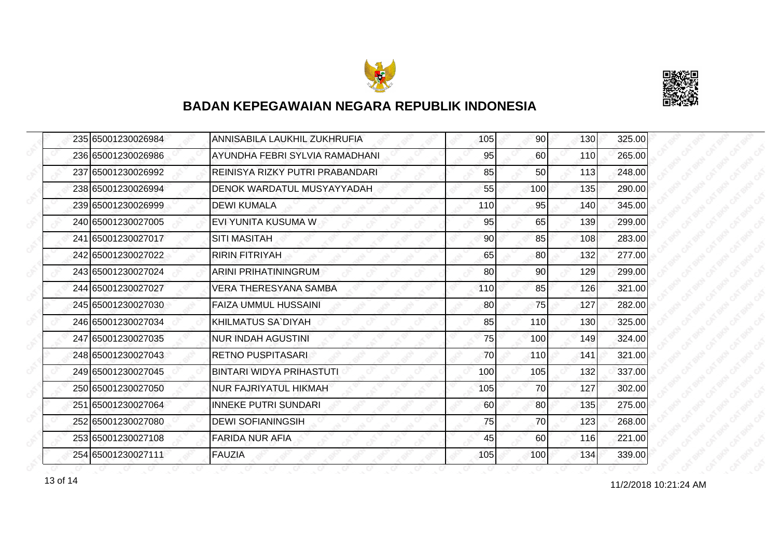



| 235 65001230026984 | ANNISABILA LAUKHIL ZUKHRUFIA    | 105 | 90 <sub>l</sub> | 130 | 325.00 |
|--------------------|---------------------------------|-----|-----------------|-----|--------|
| 236 65001230026986 | AYUNDHA FEBRI SYLVIA RAMADHANI  | 95  | 60              | 110 | 265.00 |
| 237 65001230026992 | REINISYA RIZKY PUTRI PRABANDARI | 85  | 50              | 113 | 248.00 |
| 238 65001230026994 | DENOK WARDATUL MUSYAYYADAH      | 55  | 100             | 135 | 290.00 |
| 239 65001230026999 | <b>DEWI KUMALA</b>              | 110 | 95              | 140 | 345.00 |
| 240 65001230027005 | EVI YUNITA KUSUMA W             | 95  | 65              | 139 | 299.00 |
| 241 65001230027017 | <b>SITI MASITAH</b>             | 90  | 85              | 108 | 283.00 |
| 242 65001230027022 | <b>RIRIN FITRIYAH</b>           | 65  | 80              | 132 | 277.00 |
| 243 65001230027024 | <b>ARINI PRIHATININGRUM</b>     | 80  | 90              | 129 | 299.00 |
| 244 65001230027027 | VERA THERESYANA SAMBA           | 110 | 85              | 126 | 321.00 |
| 245 65001230027030 | <b>FAIZA UMMUL HUSSAINI</b>     | 80  | 75              | 127 | 282.00 |
| 246 65001230027034 | IKHILMATUS SA`DIYAH             | 85  | 110             | 130 | 325.00 |
| 247 65001230027035 | <b>NUR INDAH AGUSTINI</b>       | 75  | 100             | 149 | 324.00 |
| 248165001230027043 | IRETNO PUSPITASARI              | 70  | 110             | 141 | 321.00 |
| 249 65001230027045 | <b>BINTARI WIDYA PRIHASTUTI</b> | 100 | 105             | 132 | 337.00 |
| 250 65001230027050 | <b>NUR FAJRIYATUL HIKMAH</b>    | 105 | 70              | 127 | 302.00 |
| 251 65001230027064 | <b>INNEKE PUTRI SUNDARI</b>     | 60  | 80              | 135 | 275.00 |
| 252 65001230027080 | <b>DEWI SOFIANINGSIH</b>        | 75  | 70              | 123 | 268.00 |
| 253 65001230027108 | <b>FARIDA NUR AFIA</b>          | 45  | 60              | 116 | 221.00 |
| 254 65001230027111 | FAUZIA                          | 105 | 100             | 134 | 339.00 |

11/2/2018 10:21:24 AM 13 of 14